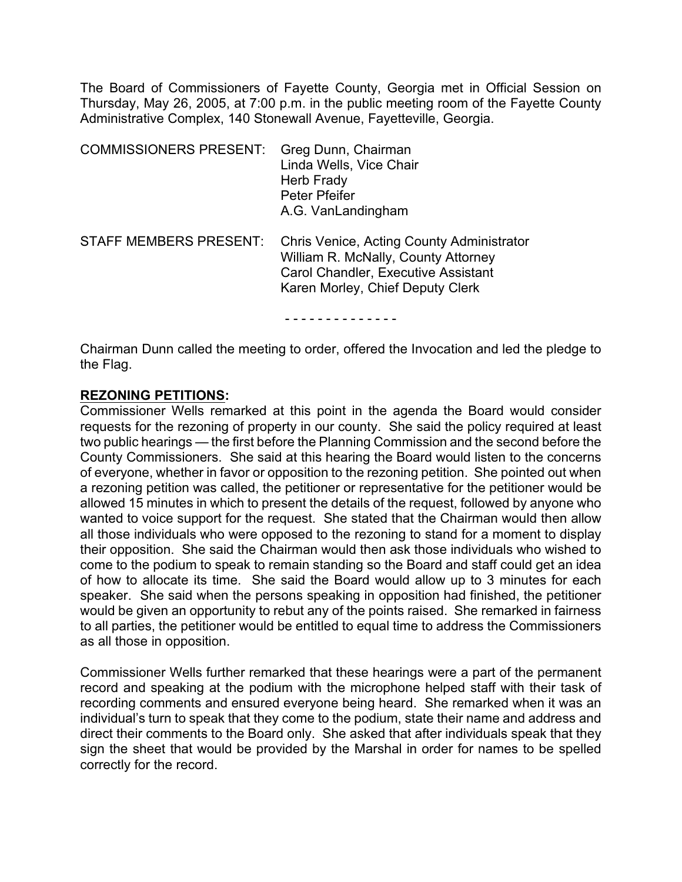The Board of Commissioners of Fayette County, Georgia met in Official Session on Thursday, May 26, 2005, at 7:00 p.m. in the public meeting room of the Fayette County Administrative Complex, 140 Stonewall Avenue, Fayetteville, Georgia.

| <b>COMMISSIONERS PRESENT:</b> | Greg Dunn, Chairman<br>Linda Wells, Vice Chair<br>Herb Frady<br>Peter Pfeifer<br>A.G. VanLandingham                                                         |
|-------------------------------|-------------------------------------------------------------------------------------------------------------------------------------------------------------|
| <b>STAFF MEMBERS PRESENT:</b> | Chris Venice, Acting County Administrator<br>William R. McNally, County Attorney<br>Carol Chandler, Executive Assistant<br>Karen Morley, Chief Deputy Clerk |
|                               |                                                                                                                                                             |

Chairman Dunn called the meeting to order, offered the Invocation and led the pledge to the Flag.

# **REZONING PETITIONS:**

Commissioner Wells remarked at this point in the agenda the Board would consider requests for the rezoning of property in our county. She said the policy required at least two public hearings — the first before the Planning Commission and the second before the County Commissioners. She said at this hearing the Board would listen to the concerns of everyone, whether in favor or opposition to the rezoning petition. She pointed out when a rezoning petition was called, the petitioner or representative for the petitioner would be allowed 15 minutes in which to present the details of the request, followed by anyone who wanted to voice support for the request. She stated that the Chairman would then allow all those individuals who were opposed to the rezoning to stand for a moment to display their opposition. She said the Chairman would then ask those individuals who wished to come to the podium to speak to remain standing so the Board and staff could get an idea of how to allocate its time. She said the Board would allow up to 3 minutes for each speaker. She said when the persons speaking in opposition had finished, the petitioner would be given an opportunity to rebut any of the points raised. She remarked in fairness to all parties, the petitioner would be entitled to equal time to address the Commissioners as all those in opposition.

Commissioner Wells further remarked that these hearings were a part of the permanent record and speaking at the podium with the microphone helped staff with their task of recording comments and ensured everyone being heard. She remarked when it was an individual's turn to speak that they come to the podium, state their name and address and direct their comments to the Board only. She asked that after individuals speak that they sign the sheet that would be provided by the Marshal in order for names to be spelled correctly for the record.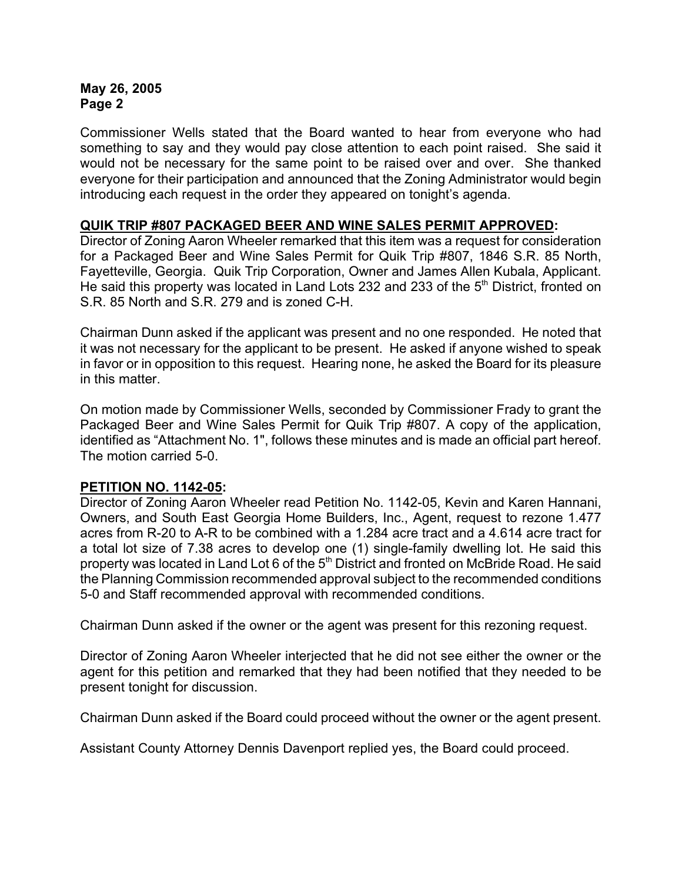Commissioner Wells stated that the Board wanted to hear from everyone who had something to say and they would pay close attention to each point raised. She said it would not be necessary for the same point to be raised over and over. She thanked everyone for their participation and announced that the Zoning Administrator would begin introducing each request in the order they appeared on tonight's agenda.

# **QUIK TRIP #807 PACKAGED BEER AND WINE SALES PERMIT APPROVED:**

Director of Zoning Aaron Wheeler remarked that this item was a request for consideration for a Packaged Beer and Wine Sales Permit for Quik Trip #807, 1846 S.R. 85 North, Fayetteville, Georgia. Quik Trip Corporation, Owner and James Allen Kubala, Applicant. He said this property was located in Land Lots 232 and 233 of the  $5<sup>th</sup>$  District, fronted on S.R. 85 North and S.R. 279 and is zoned C-H.

Chairman Dunn asked if the applicant was present and no one responded. He noted that it was not necessary for the applicant to be present. He asked if anyone wished to speak in favor or in opposition to this request. Hearing none, he asked the Board for its pleasure in this matter.

On motion made by Commissioner Wells, seconded by Commissioner Frady to grant the Packaged Beer and Wine Sales Permit for Quik Trip #807. A copy of the application, identified as "Attachment No. 1", follows these minutes and is made an official part hereof. The motion carried 5-0.

# **PETITION NO. 1142-05:**

Director of Zoning Aaron Wheeler read Petition No. 1142-05, Kevin and Karen Hannani, Owners, and South East Georgia Home Builders, Inc., Agent, request to rezone 1.477 acres from R-20 to A-R to be combined with a 1.284 acre tract and a 4.614 acre tract for a total lot size of 7.38 acres to develop one (1) single-family dwelling lot. He said this property was located in Land Lot 6 of the  $5<sup>th</sup>$  District and fronted on McBride Road. He said the Planning Commission recommended approval subject to the recommended conditions 5-0 and Staff recommended approval with recommended conditions.

Chairman Dunn asked if the owner or the agent was present for this rezoning request.

Director of Zoning Aaron Wheeler interjected that he did not see either the owner or the agent for this petition and remarked that they had been notified that they needed to be present tonight for discussion.

Chairman Dunn asked if the Board could proceed without the owner or the agent present.

Assistant County Attorney Dennis Davenport replied yes, the Board could proceed.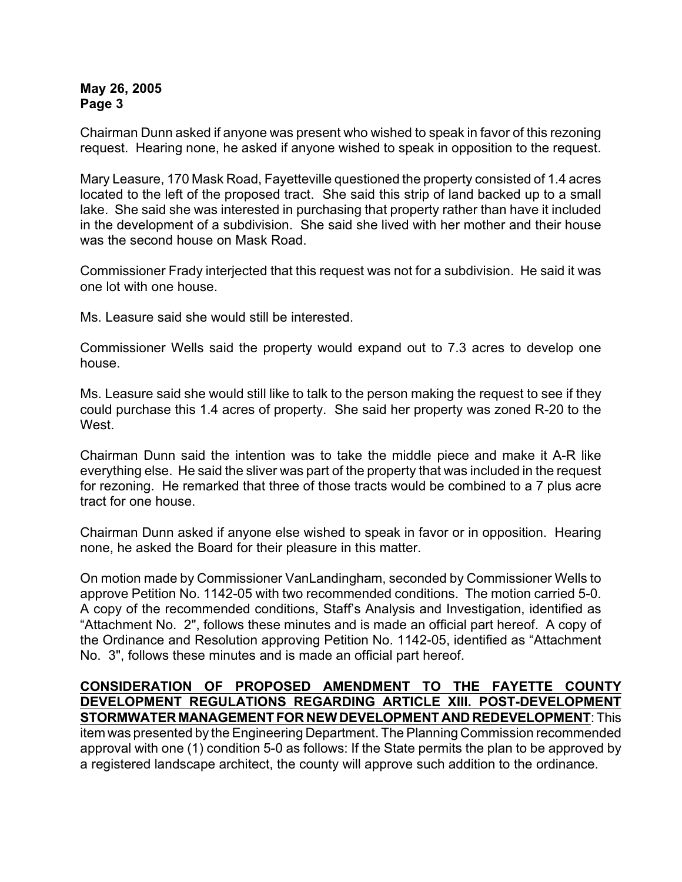Chairman Dunn asked if anyone was present who wished to speak in favor of this rezoning request. Hearing none, he asked if anyone wished to speak in opposition to the request.

Mary Leasure, 170 Mask Road, Fayetteville questioned the property consisted of 1.4 acres located to the left of the proposed tract. She said this strip of land backed up to a small lake. She said she was interested in purchasing that property rather than have it included in the development of a subdivision. She said she lived with her mother and their house was the second house on Mask Road.

Commissioner Frady interjected that this request was not for a subdivision. He said it was one lot with one house.

Ms. Leasure said she would still be interested.

Commissioner Wells said the property would expand out to 7.3 acres to develop one house.

Ms. Leasure said she would still like to talk to the person making the request to see if they could purchase this 1.4 acres of property. She said her property was zoned R-20 to the West.

Chairman Dunn said the intention was to take the middle piece and make it A-R like everything else. He said the sliver was part of the property that was included in the request for rezoning. He remarked that three of those tracts would be combined to a 7 plus acre tract for one house.

Chairman Dunn asked if anyone else wished to speak in favor or in opposition. Hearing none, he asked the Board for their pleasure in this matter.

On motion made by Commissioner VanLandingham, seconded by Commissioner Wells to approve Petition No. 1142-05 with two recommended conditions. The motion carried 5-0. A copy of the recommended conditions, Staff's Analysis and Investigation, identified as "Attachment No. 2", follows these minutes and is made an official part hereof. A copy of the Ordinance and Resolution approving Petition No. 1142-05, identified as "Attachment No. 3", follows these minutes and is made an official part hereof.

# **CONSIDERATION OF PROPOSED AMENDMENT TO THE FAYETTE COUNTY DEVELOPMENT REGULATIONS REGARDING ARTICLE XIII. POST-DEVELOPMENT STORMWATER MANAGEMENT FOR NEW DEVELOPMENT AND REDEVELOPMENT**: This

item was presented by the Engineering Department. The Planning Commission recommended approval with one (1) condition 5-0 as follows: If the State permits the plan to be approved by a registered landscape architect, the county will approve such addition to the ordinance.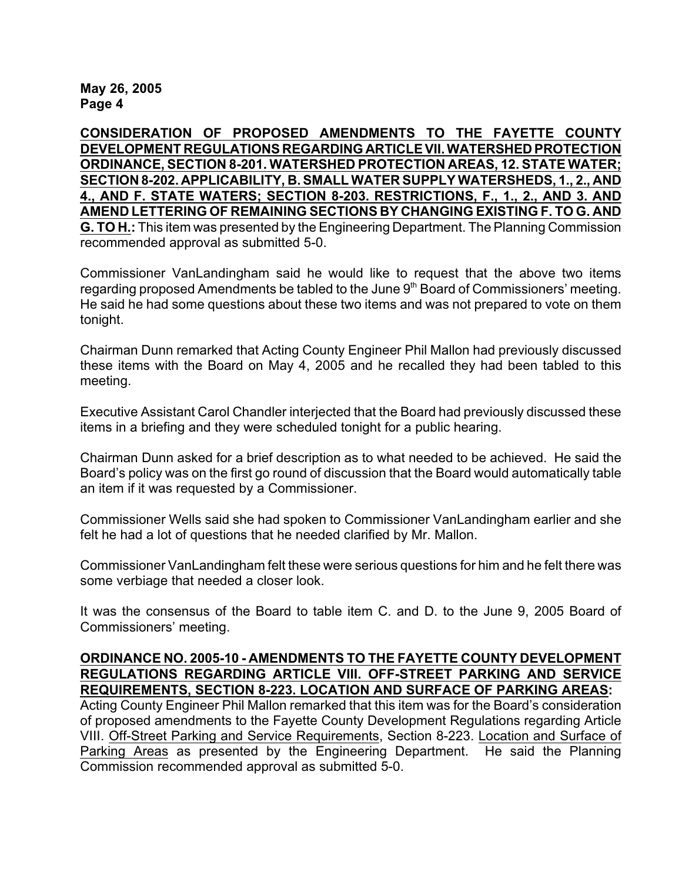**CONSIDERATION OF PROPOSED AMENDMENTS TO THE FAYETTE COUNTY DEVELOPMENT REGULATIONS REGARDING ARTICLE VII. WATERSHED PROTECTION ORDINANCE, SECTION 8-201. WATERSHED PROTECTION AREAS, 12. STATE WATER; SECTION 8-202. APPLICABILITY, B. SMALL WATER SUPPLY WATERSHEDS, 1., 2., AND 4., AND F. STATE WATERS; SECTION 8-203. RESTRICTIONS, F., 1., 2., AND 3. AND AMEND LETTERING OF REMAINING SECTIONS BY CHANGING EXISTING F. TO G. AND G. TO H.:** This item was presented by the Engineering Department. The Planning Commission recommended approval as submitted 5-0.

Commissioner VanLandingham said he would like to request that the above two items regarding proposed Amendments be tabled to the June  $9<sup>th</sup>$  Board of Commissioners' meeting. He said he had some questions about these two items and was not prepared to vote on them tonight.

Chairman Dunn remarked that Acting County Engineer Phil Mallon had previously discussed these items with the Board on May 4, 2005 and he recalled they had been tabled to this meeting.

Executive Assistant Carol Chandler interjected that the Board had previously discussed these items in a briefing and they were scheduled tonight for a public hearing.

Chairman Dunn asked for a brief description as to what needed to be achieved. He said the Board's policy was on the first go round of discussion that the Board would automatically table an item if it was requested by a Commissioner.

Commissioner Wells said she had spoken to Commissioner VanLandingham earlier and she felt he had a lot of questions that he needed clarified by Mr. Mallon.

Commissioner VanLandingham felt these were serious questions for him and he felt there was some verbiage that needed a closer look.

It was the consensus of the Board to table item C. and D. to the June 9, 2005 Board of Commissioners' meeting.

#### **ORDINANCE NO. 2005-10 - AMENDMENTS TO THE FAYETTE COUNTY DEVELOPMENT REGULATIONS REGARDING ARTICLE VIII. OFF-STREET PARKING AND SERVICE REQUIREMENTS, SECTION 8-223. LOCATION AND SURFACE OF PARKING AREAS:**

Acting County Engineer Phil Mallon remarked that this item was for the Board's consideration of proposed amendments to the Fayette County Development Regulations regarding Article VIII. Off-Street Parking and Service Requirements, Section 8-223. Location and Surface of Parking Areas as presented by the Engineering Department. He said the Planning Commission recommended approval as submitted 5-0.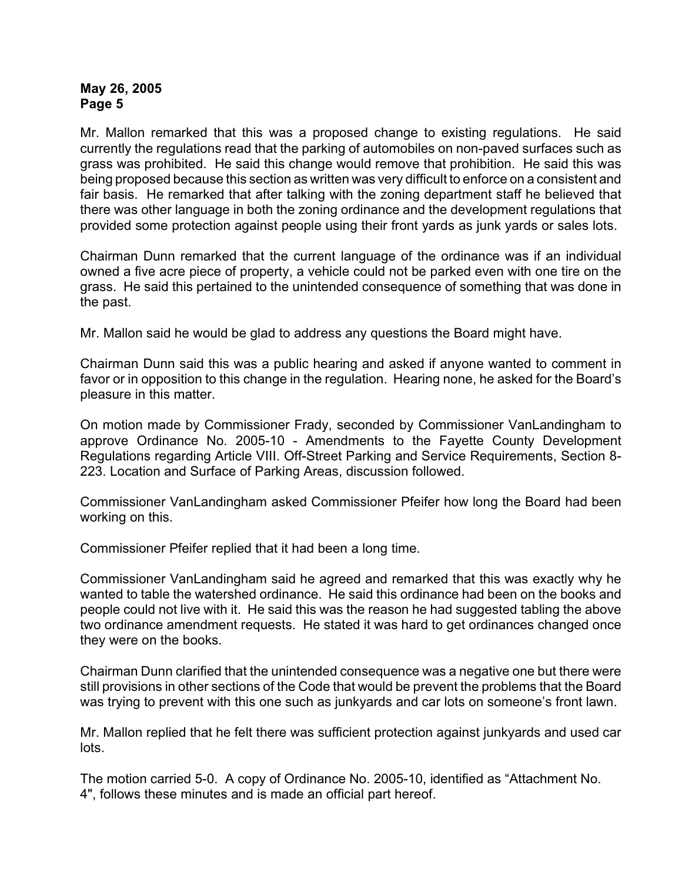Mr. Mallon remarked that this was a proposed change to existing regulations. He said currently the regulations read that the parking of automobiles on non-paved surfaces such as grass was prohibited. He said this change would remove that prohibition. He said this was being proposed because this section as written was very difficult to enforce on a consistent and fair basis. He remarked that after talking with the zoning department staff he believed that there was other language in both the zoning ordinance and the development regulations that provided some protection against people using their front yards as junk yards or sales lots.

Chairman Dunn remarked that the current language of the ordinance was if an individual owned a five acre piece of property, a vehicle could not be parked even with one tire on the grass. He said this pertained to the unintended consequence of something that was done in the past.

Mr. Mallon said he would be glad to address any questions the Board might have.

Chairman Dunn said this was a public hearing and asked if anyone wanted to comment in favor or in opposition to this change in the regulation. Hearing none, he asked for the Board's pleasure in this matter.

On motion made by Commissioner Frady, seconded by Commissioner VanLandingham to approve Ordinance No. 2005-10 - Amendments to the Fayette County Development Regulations regarding Article VIII. Off-Street Parking and Service Requirements, Section 8- 223. Location and Surface of Parking Areas, discussion followed.

Commissioner VanLandingham asked Commissioner Pfeifer how long the Board had been working on this.

Commissioner Pfeifer replied that it had been a long time.

Commissioner VanLandingham said he agreed and remarked that this was exactly why he wanted to table the watershed ordinance. He said this ordinance had been on the books and people could not live with it. He said this was the reason he had suggested tabling the above two ordinance amendment requests. He stated it was hard to get ordinances changed once they were on the books.

Chairman Dunn clarified that the unintended consequence was a negative one but there were still provisions in other sections of the Code that would be prevent the problems that the Board was trying to prevent with this one such as junkyards and car lots on someone's front lawn.

Mr. Mallon replied that he felt there was sufficient protection against junkyards and used car lots.

The motion carried 5-0. A copy of Ordinance No. 2005-10, identified as "Attachment No. 4", follows these minutes and is made an official part hereof.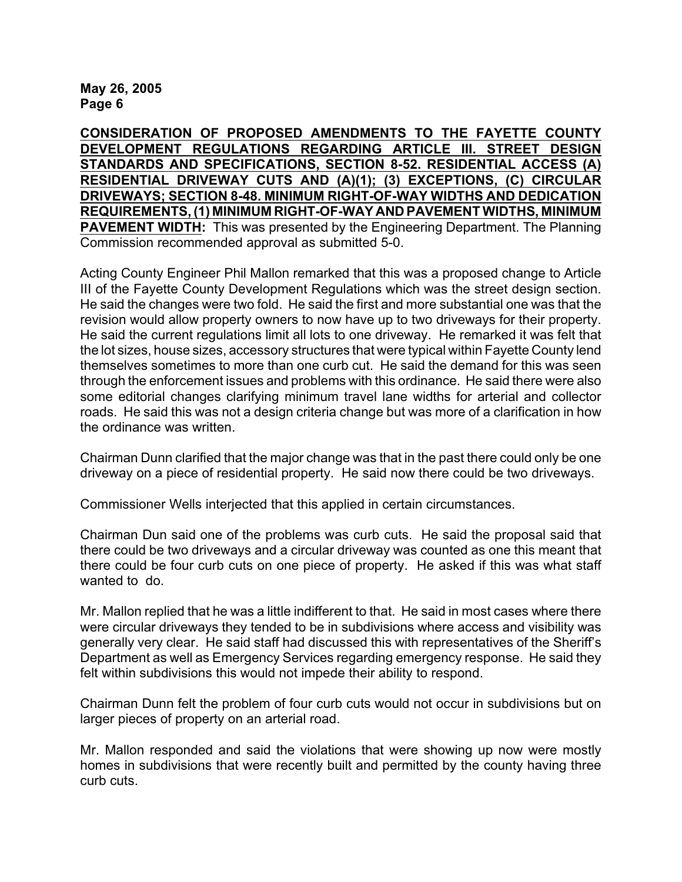**CONSIDERATION OF PROPOSED AMENDMENTS TO THE FAYETTE COUNTY DEVELOPMENT REGULATIONS REGARDING ARTICLE III. STREET DESIGN STANDARDS AND SPECIFICATIONS, SECTION 8-52. RESIDENTIAL ACCESS (A) RESIDENTIAL DRIVEWAY CUTS AND (A)(1); (3) EXCEPTIONS, (C) CIRCULAR DRIVEWAYS; SECTION 8-48. MINIMUM RIGHT-OF-WAY WIDTHS AND DEDICATION REQUIREMENTS, (1) MINIMUM RIGHT-OF-WAY AND PAVEMENT WIDTHS, MINIMUM PAVEMENT WIDTH:** This was presented by the Engineering Department. The Planning Commission recommended approval as submitted 5-0.

Acting County Engineer Phil Mallon remarked that this was a proposed change to Article III of the Fayette County Development Regulations which was the street design section. He said the changes were two fold. He said the first and more substantial one was that the revision would allow property owners to now have up to two driveways for their property. He said the current regulations limit all lots to one driveway. He remarked it was felt that the lot sizes, house sizes, accessory structures that were typical within Fayette County lend themselves sometimes to more than one curb cut. He said the demand for this was seen through the enforcement issues and problems with this ordinance. He said there were also some editorial changes clarifying minimum travel lane widths for arterial and collector roads. He said this was not a design criteria change but was more of a clarification in how the ordinance was written.

Chairman Dunn clarified that the major change was that in the past there could only be one driveway on a piece of residential property. He said now there could be two driveways.

Commissioner Wells interjected that this applied in certain circumstances.

Chairman Dun said one of the problems was curb cuts. He said the proposal said that there could be two driveways and a circular driveway was counted as one this meant that there could be four curb cuts on one piece of property. He asked if this was what staff wanted to do.

Mr. Mallon replied that he was a little indifferent to that. He said in most cases where there were circular driveways they tended to be in subdivisions where access and visibility was generally very clear. He said staff had discussed this with representatives of the Sheriff's Department as well as Emergency Services regarding emergency response. He said they felt within subdivisions this would not impede their ability to respond.

Chairman Dunn felt the problem of four curb cuts would not occur in subdivisions but on larger pieces of property on an arterial road.

Mr. Mallon responded and said the violations that were showing up now were mostly homes in subdivisions that were recently built and permitted by the county having three curb cuts.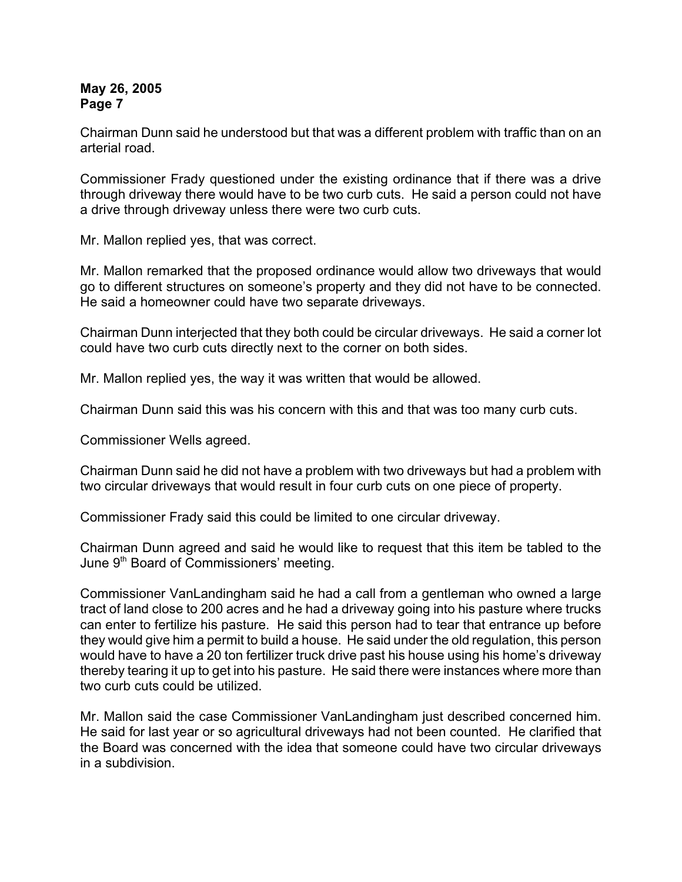Chairman Dunn said he understood but that was a different problem with traffic than on an arterial road.

Commissioner Frady questioned under the existing ordinance that if there was a drive through driveway there would have to be two curb cuts. He said a person could not have a drive through driveway unless there were two curb cuts.

Mr. Mallon replied yes, that was correct.

Mr. Mallon remarked that the proposed ordinance would allow two driveways that would go to different structures on someone's property and they did not have to be connected. He said a homeowner could have two separate driveways.

Chairman Dunn interjected that they both could be circular driveways. He said a corner lot could have two curb cuts directly next to the corner on both sides.

Mr. Mallon replied yes, the way it was written that would be allowed.

Chairman Dunn said this was his concern with this and that was too many curb cuts.

Commissioner Wells agreed.

Chairman Dunn said he did not have a problem with two driveways but had a problem with two circular driveways that would result in four curb cuts on one piece of property.

Commissioner Frady said this could be limited to one circular driveway.

Chairman Dunn agreed and said he would like to request that this item be tabled to the June  $9<sup>th</sup>$  Board of Commissioners' meeting.

Commissioner VanLandingham said he had a call from a gentleman who owned a large tract of land close to 200 acres and he had a driveway going into his pasture where trucks can enter to fertilize his pasture. He said this person had to tear that entrance up before they would give him a permit to build a house. He said under the old regulation, this person would have to have a 20 ton fertilizer truck drive past his house using his home's driveway thereby tearing it up to get into his pasture. He said there were instances where more than two curb cuts could be utilized.

Mr. Mallon said the case Commissioner VanLandingham just described concerned him. He said for last year or so agricultural driveways had not been counted. He clarified that the Board was concerned with the idea that someone could have two circular driveways in a subdivision.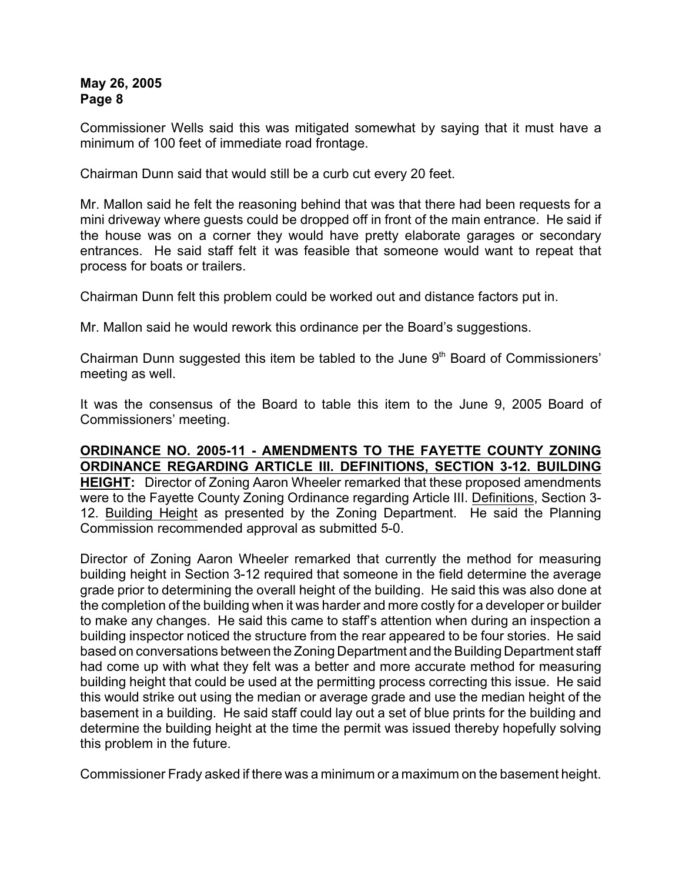Commissioner Wells said this was mitigated somewhat by saying that it must have a minimum of 100 feet of immediate road frontage.

Chairman Dunn said that would still be a curb cut every 20 feet.

Mr. Mallon said he felt the reasoning behind that was that there had been requests for a mini driveway where guests could be dropped off in front of the main entrance. He said if the house was on a corner they would have pretty elaborate garages or secondary entrances. He said staff felt it was feasible that someone would want to repeat that process for boats or trailers.

Chairman Dunn felt this problem could be worked out and distance factors put in.

Mr. Mallon said he would rework this ordinance per the Board's suggestions.

Chairman Dunn suggested this item be tabled to the June  $9<sup>th</sup>$  Board of Commissioners' meeting as well.

It was the consensus of the Board to table this item to the June 9, 2005 Board of Commissioners' meeting.

**ORDINANCE NO. 2005-11 - AMENDMENTS TO THE FAYETTE COUNTY ZONING ORDINANCE REGARDING ARTICLE III. DEFINITIONS, SECTION 3-12. BUILDING HEIGHT:** Director of Zoning Aaron Wheeler remarked that these proposed amendments were to the Fayette County Zoning Ordinance regarding Article III. Definitions, Section 3- 12. Building Height as presented by the Zoning Department. He said the Planning Commission recommended approval as submitted 5-0.

Director of Zoning Aaron Wheeler remarked that currently the method for measuring building height in Section 3-12 required that someone in the field determine the average grade prior to determining the overall height of the building. He said this was also done at the completion of the building when it was harder and more costly for a developer or builder to make any changes. He said this came to staff's attention when during an inspection a building inspector noticed the structure from the rear appeared to be four stories. He said based on conversations between the Zoning Department and the Building Department staff had come up with what they felt was a better and more accurate method for measuring building height that could be used at the permitting process correcting this issue. He said this would strike out using the median or average grade and use the median height of the basement in a building. He said staff could lay out a set of blue prints for the building and determine the building height at the time the permit was issued thereby hopefully solving this problem in the future.

Commissioner Frady asked if there was a minimum or a maximum on the basement height.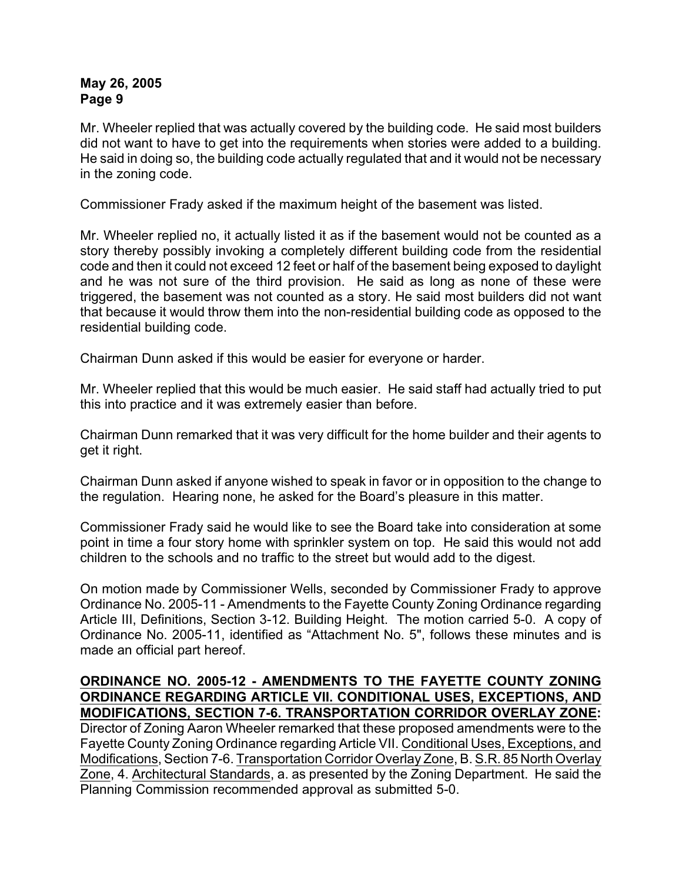Mr. Wheeler replied that was actually covered by the building code. He said most builders did not want to have to get into the requirements when stories were added to a building. He said in doing so, the building code actually regulated that and it would not be necessary in the zoning code.

Commissioner Frady asked if the maximum height of the basement was listed.

Mr. Wheeler replied no, it actually listed it as if the basement would not be counted as a story thereby possibly invoking a completely different building code from the residential code and then it could not exceed 12 feet or half of the basement being exposed to daylight and he was not sure of the third provision. He said as long as none of these were triggered, the basement was not counted as a story. He said most builders did not want that because it would throw them into the non-residential building code as opposed to the residential building code.

Chairman Dunn asked if this would be easier for everyone or harder.

Mr. Wheeler replied that this would be much easier. He said staff had actually tried to put this into practice and it was extremely easier than before.

Chairman Dunn remarked that it was very difficult for the home builder and their agents to get it right.

Chairman Dunn asked if anyone wished to speak in favor or in opposition to the change to the regulation. Hearing none, he asked for the Board's pleasure in this matter.

Commissioner Frady said he would like to see the Board take into consideration at some point in time a four story home with sprinkler system on top. He said this would not add children to the schools and no traffic to the street but would add to the digest.

On motion made by Commissioner Wells, seconded by Commissioner Frady to approve Ordinance No. 2005-11 - Amendments to the Fayette County Zoning Ordinance regarding Article III, Definitions, Section 3-12. Building Height. The motion carried 5-0. A copy of Ordinance No. 2005-11, identified as "Attachment No. 5", follows these minutes and is made an official part hereof.

**ORDINANCE NO. 2005-12 - AMENDMENTS TO THE FAYETTE COUNTY ZONING ORDINANCE REGARDING ARTICLE VII. CONDITIONAL USES, EXCEPTIONS, AND MODIFICATIONS, SECTION 7-6. TRANSPORTATION CORRIDOR OVERLAY ZONE:** Director of Zoning Aaron Wheeler remarked that these proposed amendments were to the Fayette County Zoning Ordinance regarding Article VII. Conditional Uses, Exceptions, and Modifications, Section 7-6. Transportation Corridor Overlay Zone, B. S.R. 85 North Overlay Zone, 4. Architectural Standards, a. as presented by the Zoning Department. He said the Planning Commission recommended approval as submitted 5-0.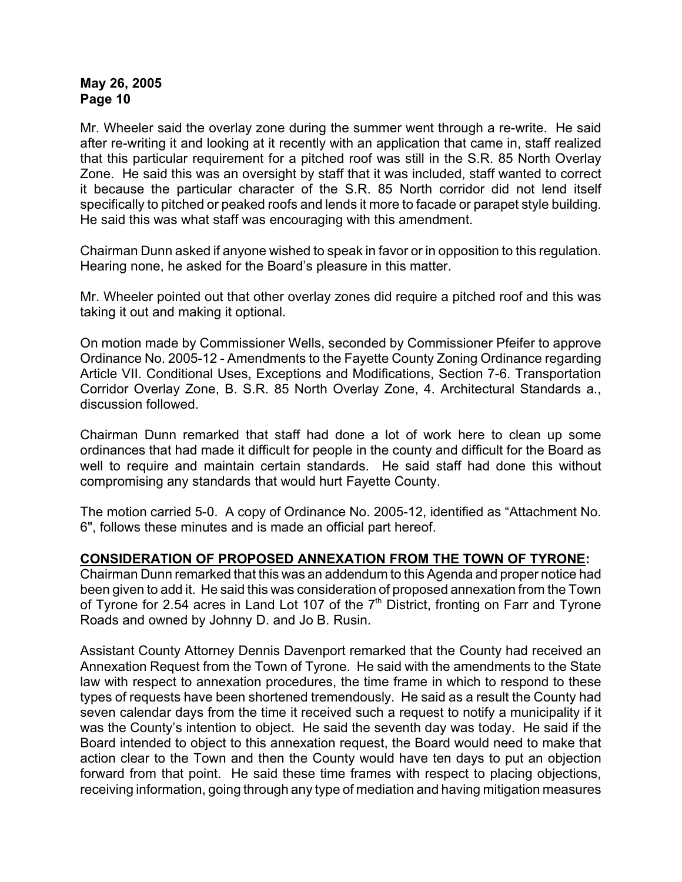Mr. Wheeler said the overlay zone during the summer went through a re-write. He said after re-writing it and looking at it recently with an application that came in, staff realized that this particular requirement for a pitched roof was still in the S.R. 85 North Overlay Zone. He said this was an oversight by staff that it was included, staff wanted to correct it because the particular character of the S.R. 85 North corridor did not lend itself specifically to pitched or peaked roofs and lends it more to facade or parapet style building. He said this was what staff was encouraging with this amendment.

Chairman Dunn asked if anyone wished to speak in favor or in opposition to this regulation. Hearing none, he asked for the Board's pleasure in this matter.

Mr. Wheeler pointed out that other overlay zones did require a pitched roof and this was taking it out and making it optional.

On motion made by Commissioner Wells, seconded by Commissioner Pfeifer to approve Ordinance No. 2005-12 - Amendments to the Fayette County Zoning Ordinance regarding Article VII. Conditional Uses, Exceptions and Modifications, Section 7-6. Transportation Corridor Overlay Zone, B. S.R. 85 North Overlay Zone, 4. Architectural Standards a., discussion followed.

Chairman Dunn remarked that staff had done a lot of work here to clean up some ordinances that had made it difficult for people in the county and difficult for the Board as well to require and maintain certain standards. He said staff had done this without compromising any standards that would hurt Fayette County.

The motion carried 5-0. A copy of Ordinance No. 2005-12, identified as "Attachment No. 6", follows these minutes and is made an official part hereof.

# **CONSIDERATION OF PROPOSED ANNEXATION FROM THE TOWN OF TYRONE:**

Chairman Dunn remarked that this was an addendum to this Agenda and proper notice had been given to add it. He said this was consideration of proposed annexation from the Town of Tyrone for 2.54 acres in Land Lot 107 of the 7<sup>th</sup> District, fronting on Farr and Tyrone Roads and owned by Johnny D. and Jo B. Rusin.

Assistant County Attorney Dennis Davenport remarked that the County had received an Annexation Request from the Town of Tyrone. He said with the amendments to the State law with respect to annexation procedures, the time frame in which to respond to these types of requests have been shortened tremendously. He said as a result the County had seven calendar days from the time it received such a request to notify a municipality if it was the County's intention to object. He said the seventh day was today. He said if the Board intended to object to this annexation request, the Board would need to make that action clear to the Town and then the County would have ten days to put an objection forward from that point. He said these time frames with respect to placing objections, receiving information, going through any type of mediation and having mitigation measures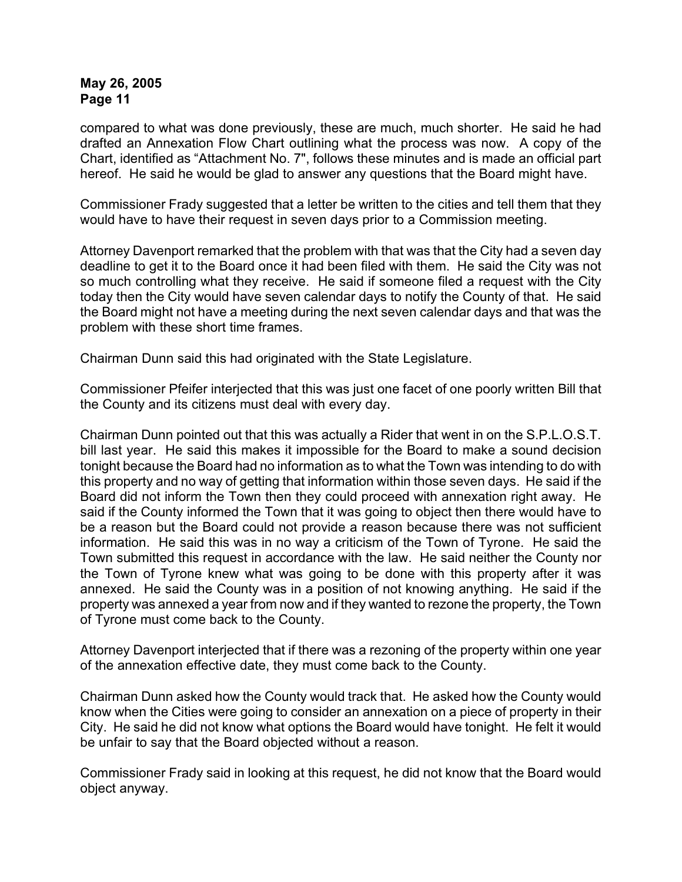compared to what was done previously, these are much, much shorter. He said he had drafted an Annexation Flow Chart outlining what the process was now. A copy of the Chart, identified as "Attachment No. 7", follows these minutes and is made an official part hereof. He said he would be glad to answer any questions that the Board might have.

Commissioner Frady suggested that a letter be written to the cities and tell them that they would have to have their request in seven days prior to a Commission meeting.

Attorney Davenport remarked that the problem with that was that the City had a seven day deadline to get it to the Board once it had been filed with them. He said the City was not so much controlling what they receive. He said if someone filed a request with the City today then the City would have seven calendar days to notify the County of that. He said the Board might not have a meeting during the next seven calendar days and that was the problem with these short time frames.

Chairman Dunn said this had originated with the State Legislature.

Commissioner Pfeifer interjected that this was just one facet of one poorly written Bill that the County and its citizens must deal with every day.

Chairman Dunn pointed out that this was actually a Rider that went in on the S.P.L.O.S.T. bill last year. He said this makes it impossible for the Board to make a sound decision tonight because the Board had no information as to what the Town was intending to do with this property and no way of getting that information within those seven days. He said if the Board did not inform the Town then they could proceed with annexation right away. He said if the County informed the Town that it was going to object then there would have to be a reason but the Board could not provide a reason because there was not sufficient information. He said this was in no way a criticism of the Town of Tyrone. He said the Town submitted this request in accordance with the law. He said neither the County nor the Town of Tyrone knew what was going to be done with this property after it was annexed. He said the County was in a position of not knowing anything. He said if the property was annexed a year from now and if they wanted to rezone the property, the Town of Tyrone must come back to the County.

Attorney Davenport interjected that if there was a rezoning of the property within one year of the annexation effective date, they must come back to the County.

Chairman Dunn asked how the County would track that. He asked how the County would know when the Cities were going to consider an annexation on a piece of property in their City. He said he did not know what options the Board would have tonight. He felt it would be unfair to say that the Board objected without a reason.

Commissioner Frady said in looking at this request, he did not know that the Board would object anyway.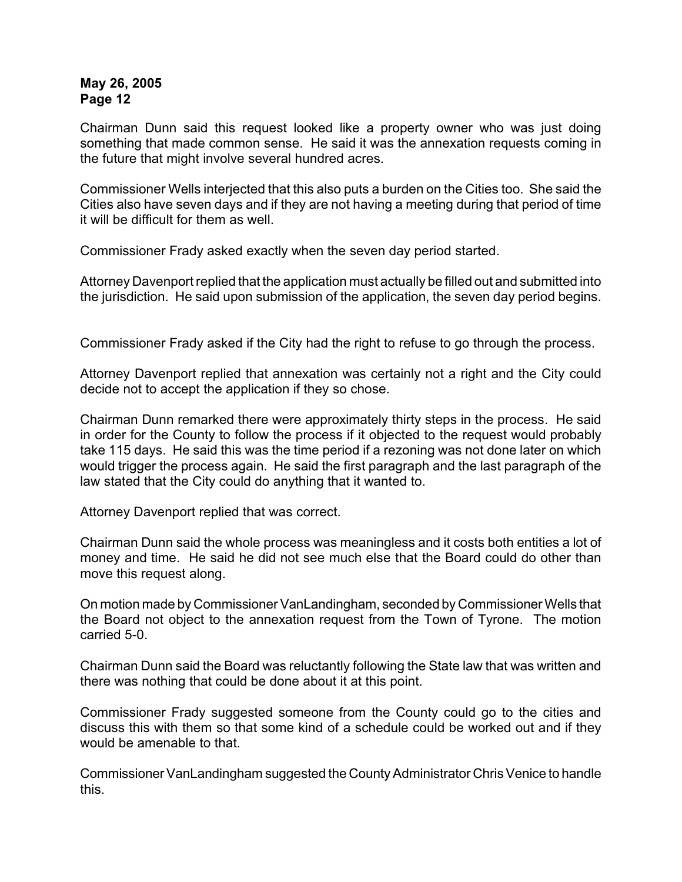Chairman Dunn said this request looked like a property owner who was just doing something that made common sense. He said it was the annexation requests coming in the future that might involve several hundred acres.

Commissioner Wells interjected that this also puts a burden on the Cities too. She said the Cities also have seven days and if they are not having a meeting during that period of time it will be difficult for them as well.

Commissioner Frady asked exactly when the seven day period started.

Attorney Davenport replied that the application must actually be filled out and submitted into the jurisdiction. He said upon submission of the application, the seven day period begins.

Commissioner Frady asked if the City had the right to refuse to go through the process.

Attorney Davenport replied that annexation was certainly not a right and the City could decide not to accept the application if they so chose.

Chairman Dunn remarked there were approximately thirty steps in the process. He said in order for the County to follow the process if it objected to the request would probably take 115 days. He said this was the time period if a rezoning was not done later on which would trigger the process again. He said the first paragraph and the last paragraph of the law stated that the City could do anything that it wanted to.

Attorney Davenport replied that was correct.

Chairman Dunn said the whole process was meaningless and it costs both entities a lot of money and time. He said he did not see much else that the Board could do other than move this request along.

On motion made by Commissioner VanLandingham, seconded by Commissioner Wells that the Board not object to the annexation request from the Town of Tyrone. The motion carried 5-0.

Chairman Dunn said the Board was reluctantly following the State law that was written and there was nothing that could be done about it at this point.

Commissioner Frady suggested someone from the County could go to the cities and discuss this with them so that some kind of a schedule could be worked out and if they would be amenable to that.

Commissioner VanLandingham suggested the County Administrator Chris Venice to handle this.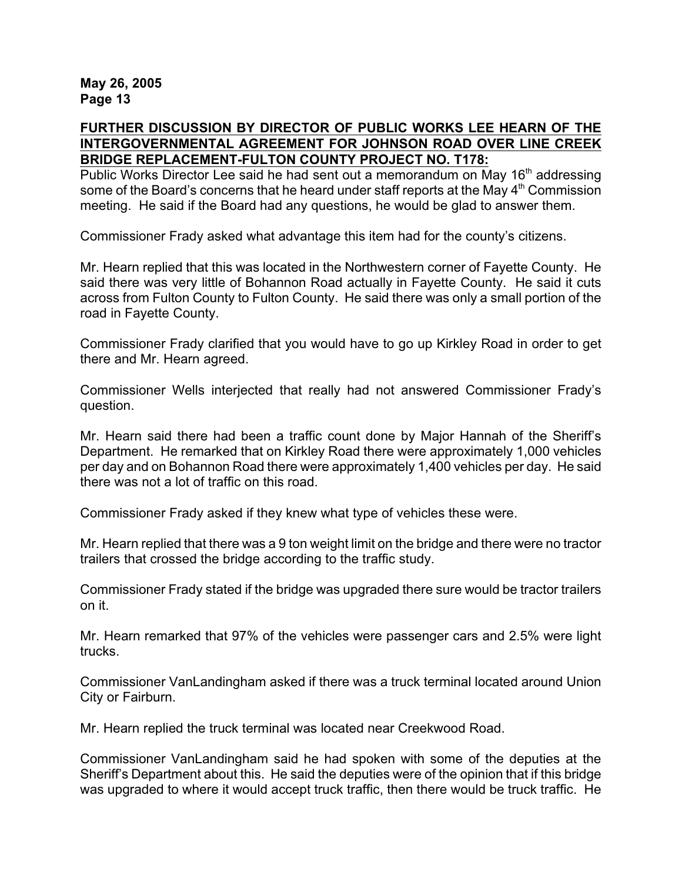# **FURTHER DISCUSSION BY DIRECTOR OF PUBLIC WORKS LEE HEARN OF THE INTERGOVERNMENTAL AGREEMENT FOR JOHNSON ROAD OVER LINE CREEK BRIDGE REPLACEMENT-FULTON COUNTY PROJECT NO. T178:**

Public Works Director Lee said he had sent out a memorandum on May 16<sup>th</sup> addressing some of the Board's concerns that he heard under staff reports at the May  $4<sup>th</sup>$  Commission meeting. He said if the Board had any questions, he would be glad to answer them.

Commissioner Frady asked what advantage this item had for the county's citizens.

Mr. Hearn replied that this was located in the Northwestern corner of Fayette County. He said there was very little of Bohannon Road actually in Fayette County. He said it cuts across from Fulton County to Fulton County. He said there was only a small portion of the road in Fayette County.

Commissioner Frady clarified that you would have to go up Kirkley Road in order to get there and Mr. Hearn agreed.

Commissioner Wells interjected that really had not answered Commissioner Frady's question.

Mr. Hearn said there had been a traffic count done by Major Hannah of the Sheriff's Department. He remarked that on Kirkley Road there were approximately 1,000 vehicles per day and on Bohannon Road there were approximately 1,400 vehicles per day. He said there was not a lot of traffic on this road.

Commissioner Frady asked if they knew what type of vehicles these were.

Mr. Hearn replied that there was a 9 ton weight limit on the bridge and there were no tractor trailers that crossed the bridge according to the traffic study.

Commissioner Frady stated if the bridge was upgraded there sure would be tractor trailers on it.

Mr. Hearn remarked that 97% of the vehicles were passenger cars and 2.5% were light trucks.

Commissioner VanLandingham asked if there was a truck terminal located around Union City or Fairburn.

Mr. Hearn replied the truck terminal was located near Creekwood Road.

Commissioner VanLandingham said he had spoken with some of the deputies at the Sheriff's Department about this. He said the deputies were of the opinion that if this bridge was upgraded to where it would accept truck traffic, then there would be truck traffic. He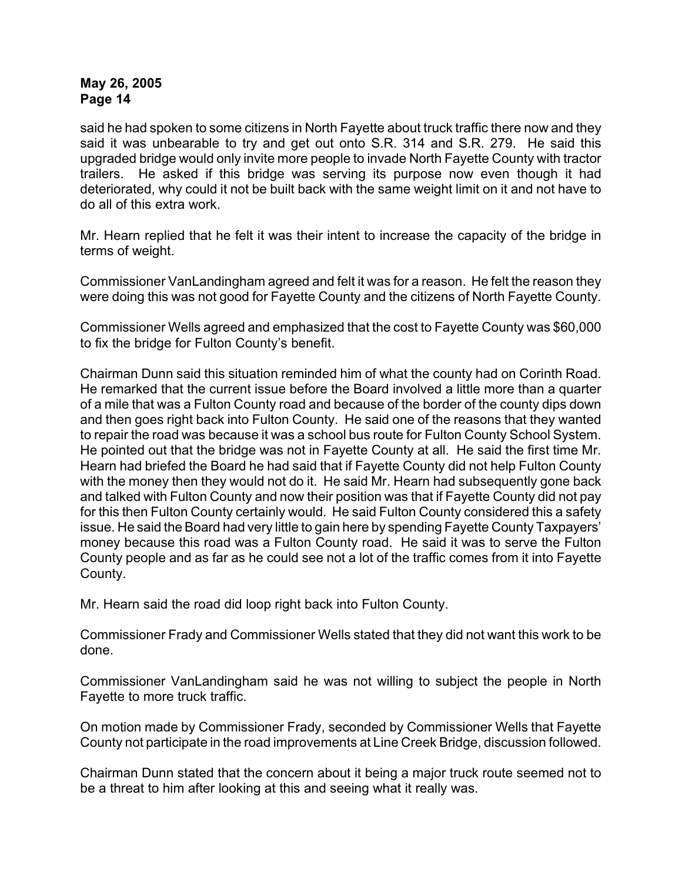said he had spoken to some citizens in North Fayette about truck traffic there now and they said it was unbearable to try and get out onto S.R. 314 and S.R. 279. He said this upgraded bridge would only invite more people to invade North Fayette County with tractor trailers. He asked if this bridge was serving its purpose now even though it had deteriorated, why could it not be built back with the same weight limit on it and not have to do all of this extra work.

Mr. Hearn replied that he felt it was their intent to increase the capacity of the bridge in terms of weight.

Commissioner VanLandingham agreed and felt it was for a reason. He felt the reason they were doing this was not good for Fayette County and the citizens of North Fayette County.

Commissioner Wells agreed and emphasized that the cost to Fayette County was \$60,000 to fix the bridge for Fulton County's benefit.

Chairman Dunn said this situation reminded him of what the county had on Corinth Road. He remarked that the current issue before the Board involved a little more than a quarter of a mile that was a Fulton County road and because of the border of the county dips down and then goes right back into Fulton County. He said one of the reasons that they wanted to repair the road was because it was a school bus route for Fulton County School System. He pointed out that the bridge was not in Fayette County at all. He said the first time Mr. Hearn had briefed the Board he had said that if Fayette County did not help Fulton County with the money then they would not do it. He said Mr. Hearn had subsequently gone back and talked with Fulton County and now their position was that if Fayette County did not pay for this then Fulton County certainly would. He said Fulton County considered this a safety issue. He said the Board had very little to gain here by spending Fayette County Taxpayers' money because this road was a Fulton County road. He said it was to serve the Fulton County people and as far as he could see not a lot of the traffic comes from it into Fayette County.

Mr. Hearn said the road did loop right back into Fulton County.

Commissioner Frady and Commissioner Wells stated that they did not want this work to be done.

Commissioner VanLandingham said he was not willing to subject the people in North Fayette to more truck traffic.

On motion made by Commissioner Frady, seconded by Commissioner Wells that Fayette County not participate in the road improvements at Line Creek Bridge, discussion followed.

Chairman Dunn stated that the concern about it being a major truck route seemed not to be a threat to him after looking at this and seeing what it really was.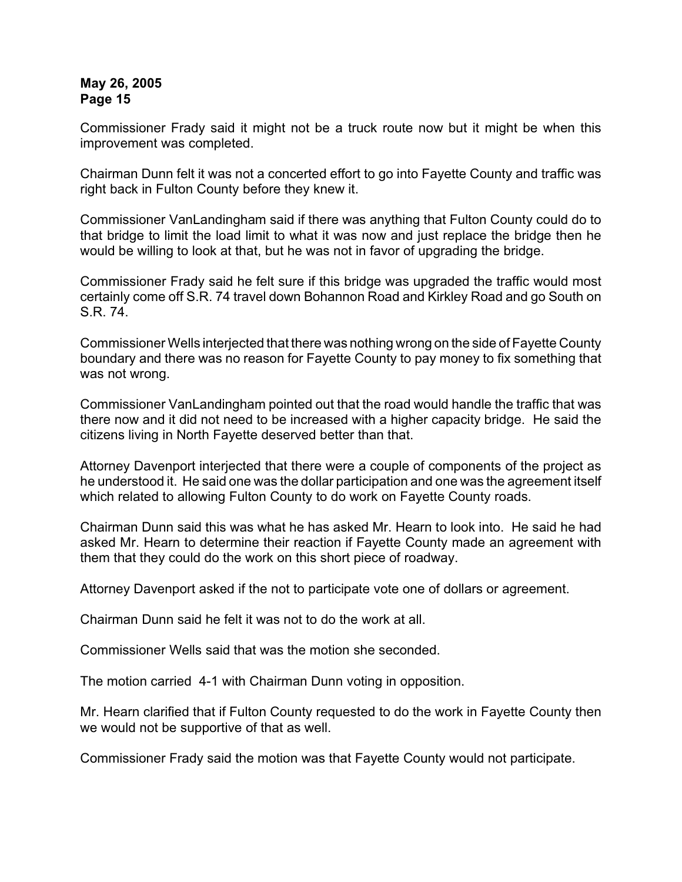Commissioner Frady said it might not be a truck route now but it might be when this improvement was completed.

Chairman Dunn felt it was not a concerted effort to go into Fayette County and traffic was right back in Fulton County before they knew it.

Commissioner VanLandingham said if there was anything that Fulton County could do to that bridge to limit the load limit to what it was now and just replace the bridge then he would be willing to look at that, but he was not in favor of upgrading the bridge.

Commissioner Frady said he felt sure if this bridge was upgraded the traffic would most certainly come off S.R. 74 travel down Bohannon Road and Kirkley Road and go South on S.R. 74.

Commissioner Wells interjected that there was nothing wrong on the side of Fayette County boundary and there was no reason for Fayette County to pay money to fix something that was not wrong.

Commissioner VanLandingham pointed out that the road would handle the traffic that was there now and it did not need to be increased with a higher capacity bridge. He said the citizens living in North Fayette deserved better than that.

Attorney Davenport interjected that there were a couple of components of the project as he understood it. He said one was the dollar participation and one was the agreement itself which related to allowing Fulton County to do work on Fayette County roads.

Chairman Dunn said this was what he has asked Mr. Hearn to look into. He said he had asked Mr. Hearn to determine their reaction if Fayette County made an agreement with them that they could do the work on this short piece of roadway.

Attorney Davenport asked if the not to participate vote one of dollars or agreement.

Chairman Dunn said he felt it was not to do the work at all.

Commissioner Wells said that was the motion she seconded.

The motion carried 4-1 with Chairman Dunn voting in opposition.

Mr. Hearn clarified that if Fulton County requested to do the work in Fayette County then we would not be supportive of that as well.

Commissioner Frady said the motion was that Fayette County would not participate.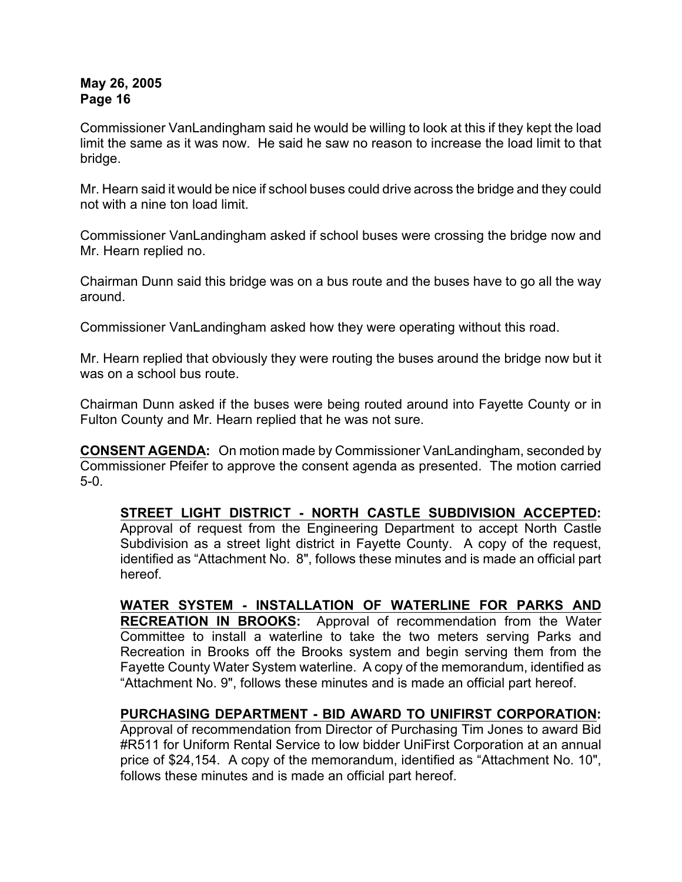Commissioner VanLandingham said he would be willing to look at this if they kept the load limit the same as it was now. He said he saw no reason to increase the load limit to that bridge.

Mr. Hearn said it would be nice if school buses could drive across the bridge and they could not with a nine ton load limit.

Commissioner VanLandingham asked if school buses were crossing the bridge now and Mr. Hearn replied no.

Chairman Dunn said this bridge was on a bus route and the buses have to go all the way around.

Commissioner VanLandingham asked how they were operating without this road.

Mr. Hearn replied that obviously they were routing the buses around the bridge now but it was on a school bus route.

Chairman Dunn asked if the buses were being routed around into Fayette County or in Fulton County and Mr. Hearn replied that he was not sure.

**CONSENT AGENDA:** On motion made by Commissioner VanLandingham, seconded by Commissioner Pfeifer to approve the consent agenda as presented. The motion carried 5-0.

**STREET LIGHT DISTRICT - NORTH CASTLE SUBDIVISION ACCEPTED:** Approval of request from the Engineering Department to accept North Castle Subdivision as a street light district in Fayette County. A copy of the request, identified as "Attachment No. 8", follows these minutes and is made an official part hereof.

**WATER SYSTEM - INSTALLATION OF WATERLINE FOR PARKS AND RECREATION IN BROOKS:** Approval of recommendation from the Water Committee to install a waterline to take the two meters serving Parks and Recreation in Brooks off the Brooks system and begin serving them from the Fayette County Water System waterline. A copy of the memorandum, identified as "Attachment No. 9", follows these minutes and is made an official part hereof.

# **PURCHASING DEPARTMENT - BID AWARD TO UNIFIRST CORPORATION:**

Approval of recommendation from Director of Purchasing Tim Jones to award Bid #R511 for Uniform Rental Service to low bidder UniFirst Corporation at an annual price of \$24,154. A copy of the memorandum, identified as "Attachment No. 10", follows these minutes and is made an official part hereof.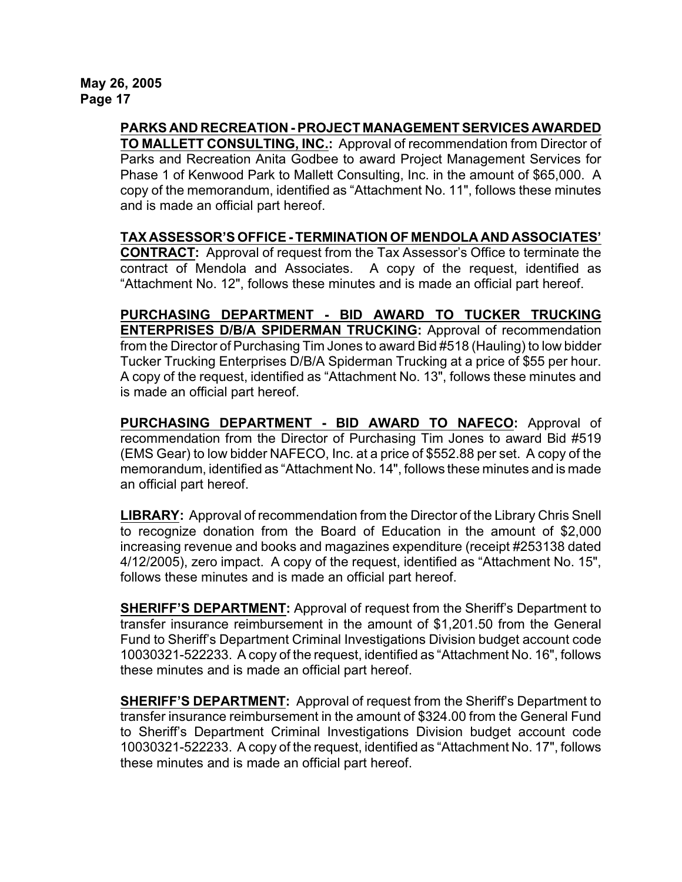**PARKS AND RECREATION - PROJECT MANAGEMENT SERVICES AWARDED**

**TO MALLETT CONSULTING, INC.:** Approval of recommendation from Director of Parks and Recreation Anita Godbee to award Project Management Services for Phase 1 of Kenwood Park to Mallett Consulting, Inc. in the amount of \$65,000.A copy of the memorandum, identified as "Attachment No. 11", follows these minutes and is made an official part hereof.

**TAX ASSESSOR'S OFFICE - TERMINATION OF MENDOLA AND ASSOCIATES' CONTRACT:** Approval of request from the Tax Assessor's Office to terminate the contract of Mendola and Associates. A copy of the request, identified as "Attachment No. 12", follows these minutes and is made an official part hereof.

**PURCHASING DEPARTMENT - BID AWARD TO TUCKER TRUCKING ENTERPRISES D/B/A SPIDERMAN TRUCKING:** Approval of recommendation from the Director of Purchasing Tim Jones to award Bid #518 (Hauling) to low bidder Tucker Trucking Enterprises D/B/A Spiderman Trucking at a price of \$55 per hour. A copy of the request, identified as "Attachment No. 13", follows these minutes and is made an official part hereof.

**PURCHASING DEPARTMENT - BID AWARD TO NAFECO:** Approval of recommendation from the Director of Purchasing Tim Jones to award Bid #519 (EMS Gear) to low bidder NAFECO, Inc. at a price of \$552.88 per set. A copy of the memorandum, identified as "Attachment No. 14", follows these minutes and is made an official part hereof.

**LIBRARY:** Approval of recommendation from the Director of the Library Chris Snell to recognize donation from the Board of Education in the amount of \$2,000 increasing revenue and books and magazines expenditure (receipt #253138 dated 4/12/2005), zero impact. A copy of the request, identified as "Attachment No. 15", follows these minutes and is made an official part hereof.

**SHERIFF'S DEPARTMENT:** Approval of request from the Sheriff's Department to transfer insurance reimbursement in the amount of \$1,201.50 from the General Fund to Sheriff's Department Criminal Investigations Division budget account code 10030321-522233. A copy of the request, identified as "Attachment No. 16", follows these minutes and is made an official part hereof.

**SHERIFF'S DEPARTMENT:** Approval of request from the Sheriff's Department to transfer insurance reimbursement in the amount of \$324.00 from the General Fund to Sheriff's Department Criminal Investigations Division budget account code 10030321-522233. A copy of the request, identified as "Attachment No. 17", follows these minutes and is made an official part hereof.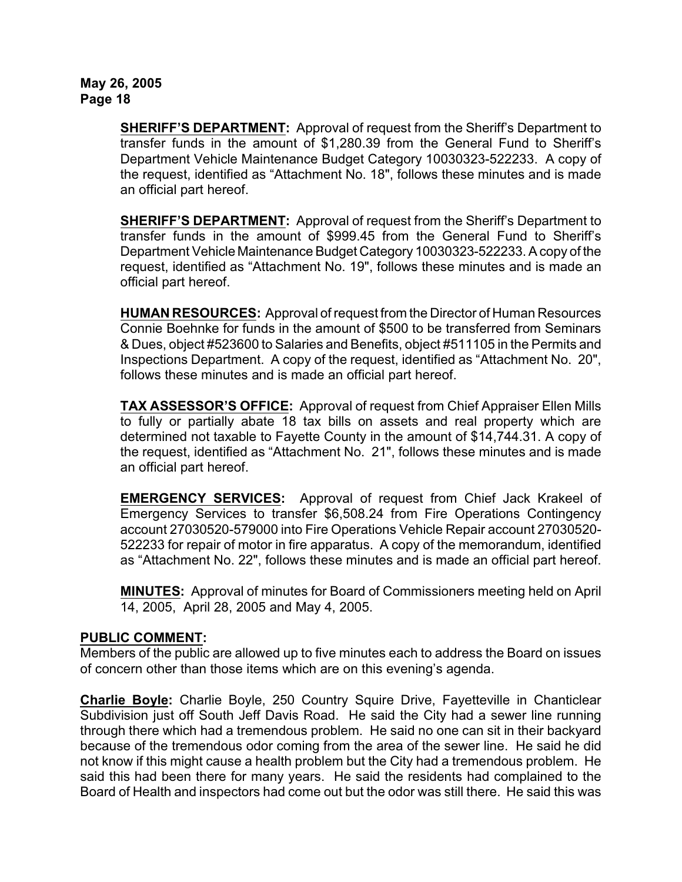**SHERIFF'S DEPARTMENT:** Approval of request from the Sheriff's Department to transfer funds in the amount of \$1,280.39 from the General Fund to Sheriff's Department Vehicle Maintenance Budget Category 10030323-522233. A copy of the request, identified as "Attachment No. 18", follows these minutes and is made an official part hereof.

**SHERIFF'S DEPARTMENT:** Approval of request from the Sheriff's Department to transfer funds in the amount of \$999.45 from the General Fund to Sheriff's Department Vehicle Maintenance Budget Category 10030323-522233. A copy of the request, identified as "Attachment No. 19", follows these minutes and is made an official part hereof.

**HUMAN RESOURCES:** Approval of request from the Director of Human Resources Connie Boehnke for funds in the amount of \$500 to be transferred from Seminars & Dues, object #523600 to Salaries and Benefits, object #511105 in the Permits and Inspections Department. A copy of the request, identified as "Attachment No. 20", follows these minutes and is made an official part hereof.

**TAX ASSESSOR'S OFFICE:** Approval of request from Chief Appraiser Ellen Mills to fully or partially abate 18 tax bills on assets and real property which are determined not taxable to Fayette County in the amount of \$14,744.31. A copy of the request, identified as "Attachment No. 21", follows these minutes and is made an official part hereof.

**EMERGENCY SERVICES:** Approval of request from Chief Jack Krakeel of Emergency Services to transfer \$6,508.24 from Fire Operations Contingency account 27030520-579000 into Fire Operations Vehicle Repair account 27030520- 522233 for repair of motor in fire apparatus. A copy of the memorandum, identified as "Attachment No. 22", follows these minutes and is made an official part hereof.

**MINUTES:** Approval of minutes for Board of Commissioners meeting held on April 14, 2005, April 28, 2005 and May 4, 2005.

# **PUBLIC COMMENT:**

Members of the public are allowed up to five minutes each to address the Board on issues of concern other than those items which are on this evening's agenda.

**Charlie Boyle:** Charlie Boyle, 250 Country Squire Drive, Fayetteville in Chanticlear Subdivision just off South Jeff Davis Road. He said the City had a sewer line running through there which had a tremendous problem. He said no one can sit in their backyard because of the tremendous odor coming from the area of the sewer line. He said he did not know if this might cause a health problem but the City had a tremendous problem. He said this had been there for many years. He said the residents had complained to the Board of Health and inspectors had come out but the odor was still there. He said this was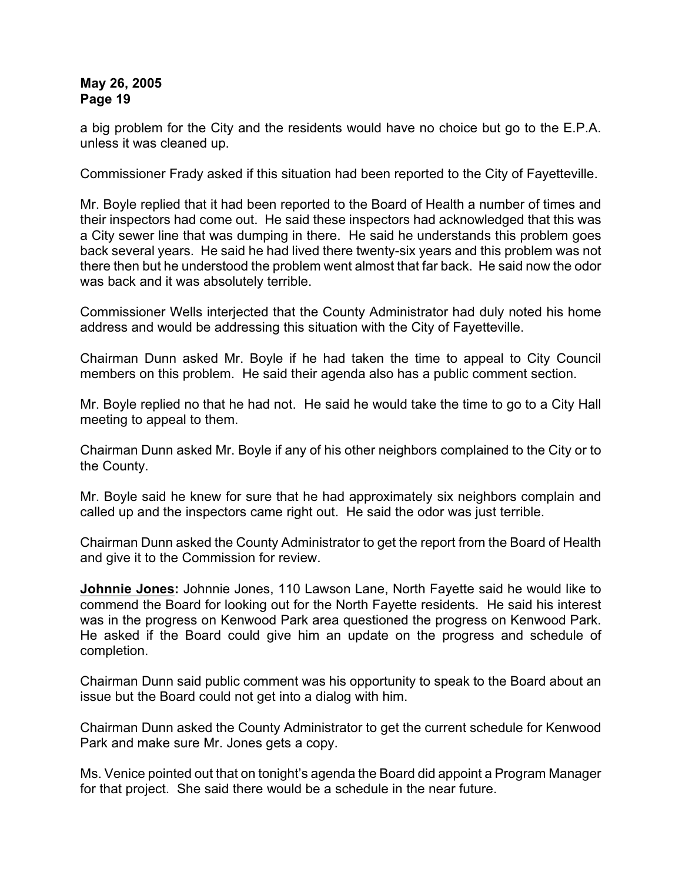a big problem for the City and the residents would have no choice but go to the E.P.A. unless it was cleaned up.

Commissioner Frady asked if this situation had been reported to the City of Fayetteville.

Mr. Boyle replied that it had been reported to the Board of Health a number of times and their inspectors had come out. He said these inspectors had acknowledged that this was a City sewer line that was dumping in there. He said he understands this problem goes back several years. He said he had lived there twenty-six years and this problem was not there then but he understood the problem went almost that far back. He said now the odor was back and it was absolutely terrible.

Commissioner Wells interjected that the County Administrator had duly noted his home address and would be addressing this situation with the City of Fayetteville.

Chairman Dunn asked Mr. Boyle if he had taken the time to appeal to City Council members on this problem. He said their agenda also has a public comment section.

Mr. Boyle replied no that he had not. He said he would take the time to go to a City Hall meeting to appeal to them.

Chairman Dunn asked Mr. Boyle if any of his other neighbors complained to the City or to the County.

Mr. Boyle said he knew for sure that he had approximately six neighbors complain and called up and the inspectors came right out. He said the odor was just terrible.

Chairman Dunn asked the County Administrator to get the report from the Board of Health and give it to the Commission for review.

**Johnnie Jones:** Johnnie Jones, 110 Lawson Lane, North Fayette said he would like to commend the Board for looking out for the North Fayette residents. He said his interest was in the progress on Kenwood Park area questioned the progress on Kenwood Park. He asked if the Board could give him an update on the progress and schedule of completion.

Chairman Dunn said public comment was his opportunity to speak to the Board about an issue but the Board could not get into a dialog with him.

Chairman Dunn asked the County Administrator to get the current schedule for Kenwood Park and make sure Mr. Jones gets a copy.

Ms. Venice pointed out that on tonight's agenda the Board did appoint a Program Manager for that project. She said there would be a schedule in the near future.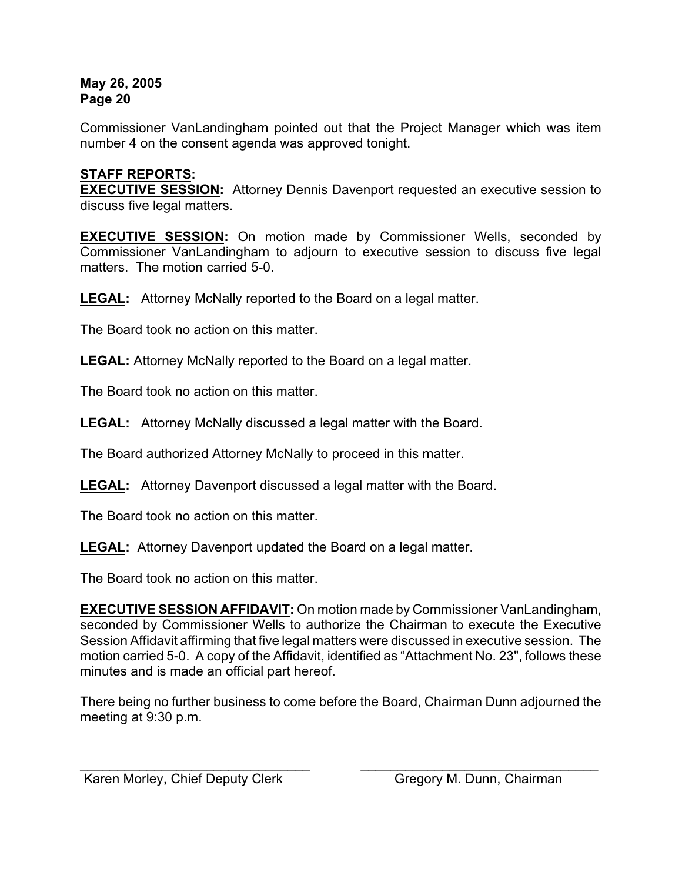Commissioner VanLandingham pointed out that the Project Manager which was item number 4 on the consent agenda was approved tonight.

# **STAFF REPORTS:**

**EXECUTIVE SESSION:** Attorney Dennis Davenport requested an executive session to discuss five legal matters.

**EXECUTIVE SESSION:** On motion made by Commissioner Wells, seconded by Commissioner VanLandingham to adjourn to executive session to discuss five legal matters. The motion carried 5-0.

**LEGAL:** Attorney McNally reported to the Board on a legal matter.

The Board took no action on this matter.

**LEGAL:** Attorney McNally reported to the Board on a legal matter.

The Board took no action on this matter.

**LEGAL:** Attorney McNally discussed a legal matter with the Board.

The Board authorized Attorney McNally to proceed in this matter.

**LEGAL:** Attorney Davenport discussed a legal matter with the Board.

The Board took no action on this matter.

**LEGAL:** Attorney Davenport updated the Board on a legal matter.

The Board took no action on this matter.

**EXECUTIVE SESSION AFFIDAVIT:** On motion made by Commissioner VanLandingham, seconded by Commissioner Wells to authorize the Chairman to execute the Executive Session Affidavit affirming that five legal matters were discussed in executive session. The motion carried 5-0. A copy of the Affidavit, identified as "Attachment No. 23", follows these minutes and is made an official part hereof.

There being no further business to come before the Board, Chairman Dunn adjourned the meeting at 9:30 p.m.